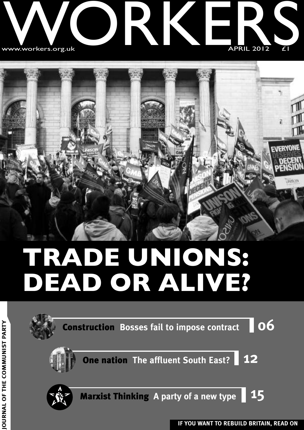

# ⊓⊮ **EVERYONE UNIFICIO**

## **TRADE UNIONS: DEAD OR ALIVE?**

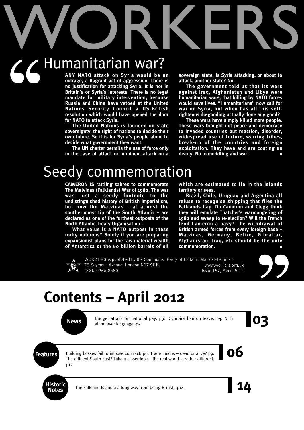# WORKERS Humanitarian war?  $66$

**ANY NATO attack on Syria would be an outrage, a flagrant act of aggression. There is no justification for attacking Syria. It is not in Britain's or Syria's interests. There is no legal mandate for military intervention, because Russia and China have vetoed at the United Nations Security Council a US-British resolution which would have opened the door for NATO to attack Syria.**

**The United Nations is founded on state sovereignty, the right of nations to decide their own future. So it is for Syria's people alone to decide what government they want.**

**The UN charter permits the use of force only in the case of attack or imminent attack on a** **sovereign state. Is Syria attacking, or about to attack, another state? No.**

**The government told us that its wars against Iraq, Afghanistan and Libya were humanitarian wars, that killing by NATO forces would save lives. "Humanitarians" now call for war on Syria, but when has all this selfrighteous do-gooding actually done any good?**

**These wars have simply killed more people. These wars brought not peace and democracy to invaded countries but reaction, disorder, widespread use of torture, warring tribes, break-up of the countries and foreign exploitation. They have and are costing us dearly. No to meddling and war! ■**

### Seedy commemoration

**CAMERON IS rattling sabres to commemorate The Malvinas (Falklands) War of 1982. The war was just a seedy footnote to the undistinguished history of British imperialism, but now the Malvinas – at almost the southernmost tip of the South Atlantic – are declared as one of the furthest outposts of the North Atlantic Treaty Organisation .**

**What value is a NATO outpost in these rocky outcrops? Solely if you are preparing expansionist plans for the raw material wealth of Antarctica or the 60 billion barrels of oil**

**which are estimated to lie in the islands territory or seas.**

**Brazil, Chile, Uruguay and Argentina all refuse to recognise shipping that flies the Falklands flag. Do Cameron and Clegg think they will emulate Thatcher's warmongering of 1982 and sweep to re-election? Will the French lend Cameron a navy? The withdrawal of British armed forces from every foreign base – Malvinas, Germany, Belize, Gibraltar, Afghanistan, Iraq, etc should be the only**  $commenoration.$ 



WORKERS is published by the Communist Party of Britain (Marxist-Leninist) 78 Seymour Avenue, London N17 9EB. www.workers.org.uk ISSN 0266-8580 Issue 157, April 2012



### **Contents – April 2012**



Budget attack on national pay, p3; Olympics ban on leave, p4; NHS<br>alarm over language, p5 Budget attack on national pay, p3; Olympics ban on leave, p4; NHS alarm over language, p5

**Features** Building bosses fail to impose contract, p6; Trade unions – dead or alive? p9;<br>The affluent South East? Take a closer look – the real world is rather different. Building bosses fail to impose contract, p6; Trade unions – dead or alive? p9; The affluent South East? Take a closer look – the real world is rather different, p12



The Falkland Islands: a long way from being British, p14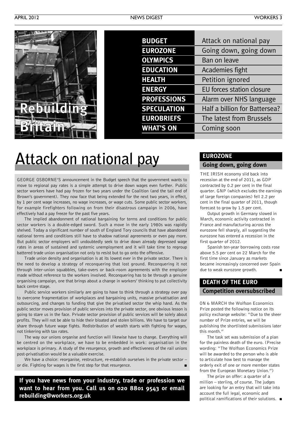

| <b>BUDGET</b>      | Attack on national pay        |
|--------------------|-------------------------------|
| <b>EUROZONE</b>    | Going down, going down        |
| <b>OLYMPICS</b>    | Ban on leave                  |
| <b>EDUCATION</b>   | Academies fight               |
| <b>HEALTH</b>      | Petition ignored              |
| <b>ENERGY</b>      | EU forces station closure     |
| <b>PROFESSIONS</b> | Alarm over NHS language       |
| <b>SPECULATION</b> | Half a billion for Battersea? |
| <b>EUROBRIEFS</b>  | The latest from Brussels      |
| <b>WHAT'S ON</b>   | Coming soon                   |
|                    |                               |

### **Attack on national pay**

GEORGE OSBORNE'S announcement in the Budget speech that the government wants to move to regional pay rates is a simple attempt to drive down wages even further. Public sector workers have had pay frozen for two years under the Coalition (and the tail end of Brown's government). They now face that being extended for the next two years, in effect, by 1 per cent wage increases, no wage increases, or wage cuts. Some public sector workers, for example firefighters following on from their disastrous campaign in 2006, have effectively had a pay freeze for the past five years.

The implied abandonment of national bargaining for terms and conditions for public sector workers is a double-edged sword. Such a move in the early 1980s was rapidly shelved. Today a significant number of south of England Tory councils that have abandoned national terms and conditions still have to shadow national agreements or even pay more. But public sector employers will undoubtedly seek to drive down already depressed wage rates in areas of sustained and systemic unemployment and it will take time to regroup battered trade union organisation not only to resist but to go onto the offensive.

Trade union density and organisation is at its lowest ever in the private sector. There is the need to develop a strategy of reconquering that lost ground. Reconquering it not through inter-union squabbles, take-overs or back-room agreements with the employer made without reference to the workers involved. Reconquering has to be through a genuine organising campaign, one that brings about a change in workers' thinking to put collectivity back centre stage.

Public service workers similarly are going to have to think through a strategy over pay to overcome fragmentation of workplaces and bargaining units, massive privatisation and outsourcing, and changes to funding that give the privatised sector the whip hand. As the public sector moves provision of public services into the private sector, one obvious lesson is going to stare us in the face. Private sector provision of public services will be solely about profits. They will not be able to hide their bloated and stolen billions. We have to target our share through future wage fights. Redistribution of wealth starts with fighting for wages, not tinkering with tax rates.

The way our unions organise and function will likewise have to change. Everything will be centred on the workplace, we have to be embedded in work: organisation in the workplace is primary. A study of the resurgence, growth and effectiveness of the rail unions post-privatisation would be a valuable exercise.

We have a choice: reorganise, restructure, re-establish ourselves in the private sector – or die. Fighting for wages is the first step for that resurgence.

**If you have news from your industry, trade or profession we want to hear from you. Call us on 020 8801 9543 or email rebuilding@workers.org.uk**

### **EUROZONE**

### **Going down, going down**

THE IRISH economy slid back into recession at the end of 2011, as GDP contracted by 0.2 per cent in the final quarter. GNP (which excludes the earnings of large foreign companies) fell 2.2 per cent in the final quarter of 2011, though forecast to grow by 1.5 per cent.

Output growth in Germany slowed in March, economic activity contracted in France and manufacturing across the eurozone fell sharply, all suggesting the eurozone has entered a recession in the first quarter of 2012.

Spanish ten-year borrowing costs rose above 5.5 per cent on 22 March for the first time since January as markets became increasingly concerned over Spain due to weak eurozone growth.

### **DEATH OF THE EURO Competition oversubscribed**

ON 6 MARCH the Wolfson Economics Prize posted the following notice on its policy exchange website: "Due to the sheer number of Prize entries, we will be publishing the shortlisted submissions later this month."

The task set was submission of a plan for the painless death of the euro. (Precise wording: "The Wolfson Economics Prize will be awarded to the person who is able to articulate how best to manage the orderly exit of one or more member states from the European Monetary Union.")

The prize on offer: a quarter of a million – sterling, of course. The judges are looking for an entry that will take into account the full legal, economic and political ramifications of their solutions. **■**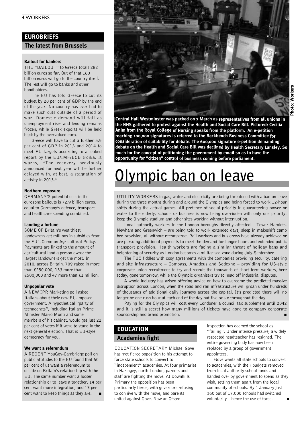### **EUROBRIEFS**

### **The latest from Brussels**

#### **Bailout for bankers**

THE "BAILOUT" to Greece totals 282 billion euros so far. Out of that 160 billion euros will go to the country itself. The rest will go to banks and other bondholders.

The EU has told Greece to cut its budget by 20 per cent of GDP by the end of the year. No country has ever had to make such cuts outside of a period of war. Domestic demand will fall as unemployment rises and lending remains frozen, while Greek exports will be held back by the overvalued euro.

Greece will have to cut a further 5.5 per cent of GDP in 2013 and 2014 to meet EU targets according to a leaked report by the EU/IMF/ECB troika. It warns, "The recovery previously announced for next year will be further delayed with, at best, a stagnation of activity in 2013."

#### **Northern exposure**

GERMANY'S potential cost in the eurozone bailouts is 72.9 billion euros, equal to Germany's defence, transport and healthcare spending combined.

#### **Landing a fortune**

SOME OF Britain's wealthiest landowners get millions in subsidies from the EU's Common Agricultural Policy. Payments are linked to the amount of agricultural land a person owns; the largest landowners get the most. In 2010, across Britain, 709 raked in more than £250,000, 133 more than £500,000 and 47 more than £1 million.

#### **Unpopular vote**

A NEW IPR Marketing poll asked Italians about their new EU-imposed government. A hypothetical "party of technocrats", including Italian Prime Minister Mario Monti and some members of his cabinet, would get just 22 per cent of votes if it were to stand in the next general election. That is EU-style democracy for you.

#### **We want a referendum**

A RECENT YouGov-Cambridge poll on public attitudes to the EU found that 60 per cent of us want a referendum to decide on Britain's relationship with the EU. The same number want a looser relationship or to leave altogether. 14 per cent want more integration, and 13 per cent want to keep things as they are.



**Central Hall Westminster was packed on 7 March as representatives from all unions in the NHS gathered to protest against the Health and Social Care Bill. Pictured: Cecilia Anim from the Royal College of Nursing speaks from the platform. An e-petition reaching 100,000 signatures is referred to the Backbench Business Committee for consideration of suitability for debate. The 600,000 signature e-petition demanding debate on the Health and Social Care Bill was declined by Health Secretary Lansley. So much for the concept of petitioning the government by email so as to have the opportunity for "citizen" control of business coming before parliament.**

### **Olympic ban on leave**

UTILITY WORKERS in gas, water and electricity are being threatened with a ban on leave during the three months during and around the Olympics and being forced to work 12-hour shifts during the actual games. All pretence of social priority in guaranteeing power or water to the elderly, schools or business is now being overridden with only one priority: keep the Olympic stadium and other sites working without interruption.

Local authority workers in the London boroughs directly affected – Tower Hamlets, Newham and Greenwich – are being told to work extended days, sleep in makeshift camp bed provision, all without recompense. Rail workers and bus crews have already achieved or are pursuing additional payments to meet the demand for longer hours and extended public transport provision. Health workers are facing a similar threat of holiday bans and heightening of security as London becomes a militarised zone during July-September.

The TUC fiddles with cosy agreements with the companies providing security, catering and site infrastructure – Compass, Amadeus and Sodexho – providing for US-style corporate union recruitment to try and recruit the thousands of short term workers, here today, gone tomorrow, while the Olympic organisers try to head off industrial disputes.

A whole industry has arisen offering advice on how to overcome the predicted massive disruption across London, when the road and rail infrastructure will groan under hundreds of thousands of additional daily journeys across the capital. It's predicted there will no longer be one rush hour at each end of the day but five or six throughout the day.

Paying for the Olympics will cost every Londoner a council tax supplement until 2042 and it is still a secret how many millions of tickets have gone to company corporate sponsorship and brand promotion.

### **EDUCATION**

### **Academies fight**

EDUCATION SECRETARY Michael Gove has met fierce opposition to his attempt to force state schools to convert to "independent" academies. At four primaries in Haringey, north London, parents and staff are fighting the move. At Downhills Primary the opposition has been particularly fierce, with governors refusing to connive with the move, and parents united against Gove. Now an Ofsted

inspection has deemed the school as "failing". Under intense pressure, a widely respected headteacher has resigned. The entire governing body has now been replaced by a group of government appointees.

Gove wants all state schools to convert to academies, with their budgets removed from local authority school funds and handed over by government to spend as they wish, setting them apart from the local community of schools. By 1 January just 360 out of 17,000 schools had switched voluntarily – hence the use of force.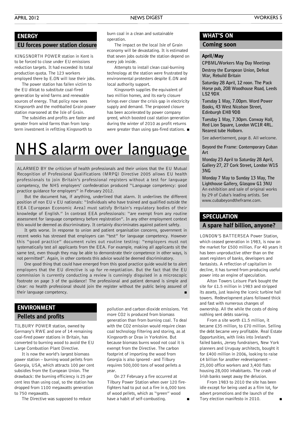#### APRIL 2012 NEWS DIGEST WORKERS 5

### **ENERGY**

#### **EU forces power station closure**

KINGSNORTH POWER station in Kent is to be forced to close under EU emissions reduction targets. It had exceeded its total production quota. The 123 workers employed there by E.ON will lose their jobs.

The power station has fallen victim to the EU diktat to substitute coal-fired generation by wind farms and renewable sources of energy. That policy now sees Kingsnorth and the mothballed Grain power station marooned at the Isle of Grain.

The subsidies and profits are faster and greater from wind farms than from longterm investment in refitting Kingsnorth to

burn coal in a clean and sustainable operation.

The impact on the local Isle of Grain economy will be devastating. It is estimated that seven jobs outside the station depend on every job inside.

Attempts to install clean coal-burning technology at the station were frustrated by environmental protesters despite E.ON and local authority support.

Kingsnorth supplies the equivalent of two million homes, and its early closure brings ever closer the crisis gap in electricity supply and demand. The proposed closure has been accelerated by power company greed, which boosted coal station generation during the winter of 2010 as profit returns were greater than using gas-fired stations. **■**

### **NHS alarm over language**

ALARMED BY the criticism of health professionals and their unions that the EU Mutual Recognition of Professional Qualifications (MRPQ) Directive 2005 allows EU health professionals to join Britain's professional registers without a test for language competency, the NHS employers' confederation produced "Language competency: good practice guidance for employers" in February 2012.

But the document has, if anything, underlined that alarm. It underlines the different position of non EU v EU nationals: "Individuals who have trained and qualified outside the EEA [European Economic Area] must satisfy Britain's regulatory bodies of their knowledge of English." In contrast EEA professionals: "are exempt from any routine assessment for language competency before registration". In any other employment context this would be deemed as discriminatory. It certainly discriminates against patient safety.

It gets worse. In response to union and patient organisation concerns, government in recent weeks has stressed that employers can "test" for language competency. However this "good practice" document rules out routine testing: "employers must not systematically test all applicants from the EEA. For example, making all applicants sit the same test, even though they may be able to demonstrate their competence in other ways, is not permitted". Again, in other contexts this advice would be deemed discriminatory.

One good thing that could have emerged from this good practice guide would be to alert employers that the EU directive is up for re-negotiation. But the fact that the EU commission is currently conducting a review is cunningly disguised in a microscopic footnote on page 3 of the guidance! The professional and patient demand is simple and clear: no health professional should join the register without the public being assured of their language competency.

### **Pellets and profits ENVIRONMENT**

TILBURY POWER station, owned by Germany's RWE and one of 14 remaining coal-fired power stations in Britain, has converted to burning wood to avoid the EU Large Combustion Plant Directive.

It is now the world's largest biomass power station – burning wood pellets from Georgia, USA, which attracts 100 per cent subsidies from the European Union. The drawback: the burning efficiency is 25 per cent less than using coal, so the station has dropped from 1100 megawatts generation to 750 megawatts.

The Directive was supposed to reduce

pollution and carbon dioxide emissions. Yet more CO2 is produced from biomass generation than from burning coal. To deal with the CO2 emission would require clean coal technology filtering and storing, as at Kingsnorth or Drax in Yorkshire. But because biomass burns wood not coal it is exempt from the Directive. The carbon footprint of importing the wood from Georgia is also ignored - and Tilbury requires 500,000 tons of wood pellets a year.

On 27 February a fire occurred at Tilbury Power Station when over 120 firefighters had to put out a fire in 6,000 tons of wood pellets, which as "green" wood have a habit of self-combusting.

### **WHAT'S ON**

### **Coming soon**

#### **April/May**

**CPBML/Workers May Day Meetings Destroy the European Union, Defeat War, Rebuild Britain**

**Saturday 28 April, 12 noon. The Pack Horse pub, 208 Woodhouse Road, Leeds LS2 9DX**

**Tuesday 1 May, 7.00pm. Word Power Books, 43 West Nicolson Street, Edinburgh EH8 9DB**

**Tuesday 1 May, 7.30pm. Conway Hall, Red Lion Square, London WC1R 4RL. Nearest tube Holborn.**

See advertisement, page 8. All welcome.

**Beyond the Frame: Contemporary Cuban Art**

**Monday 23 April to Saturday 28 April, Gallery 27, 27 Cork Street, London W1S 3NG**

**Monday 7 May to Sunday 13 May, The Lighthouse Gallery, Glasgow G1 3NU** An exhibition and sale of original works by 29 of Cuba's leading artists. See www.cubabeyondtheframe.com.

### **SPECULATION**

### **A spare half billion, anyone?**

LONDON'S BATTERSEA Power Station, which ceased generation in 1983, is now on the market for £500 million. For 40 years it has been unproductive other than on the asset registers of banks, developers and fantasists. A reflection of capitalism in decline, it has turned from producing useful power into an engine of speculation.

Alton Towers Leisure Park bought the site for £1.5 million in 1983 and stripped its assets, just leaving the iconic turbine hall towers. Redevelopment plans followed thick and fast with numerous changes of ownership. All the while the costs of doing nothing sent debts soaring.

From a site worth £1.5 million, it became £35 million, to £70 million. Selling the debt became very profitable. Real Estate Opportunities, with links into Ireland's failed banks, Jersey fundraisers, New York planners and Uruguay architects, bought it for £400 million in 2006, looking to raise £4 billion for another redevelopment – 25,000 office workers and 3,400 flats housing 28,000 inhabitants. The crash of Irish banks swept away the delusion.

From 1983 to 2010 the site has been idle except for being used as a film lot, for advert promotions and the launch of the Tory election manifesto in 2010. **■**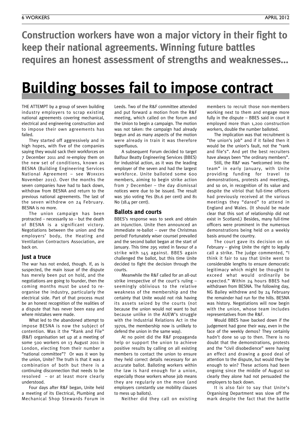**Construction workers have won a major victory in their fight to keep their national agreements. Winning future battles requires an honest assessment of strengths and weaknesses…**

### **Building bosses fail to impose contract**

THE ATTEMPT by a group of seven building industry employers to scrap existing national agreements covering mechanical, electrical and engineering construction and to impose their own agreements has failed.

They started off aggressively and in high hopes, with five of the companies saying they would sack their workforces on 7 December 2011 and re-employ them on the new set of conditions, known as BESNA (Building Engineering Services National Agreement – see WORKERS November 2011). Over the months the seven companies have had to back down, withdraw from BESNA and return to the previous national agreements. The last of the seven withdrew on 24 February. BESNA is no more.

The union campaign has been protracted – necessarily so – but the death of BESNA is a significant victory. Negotiations between the union and the employers' body, the Heating and Ventilation Contractors Association, are back on.

### **Just a truce**

The war has not ended, though. If, as is suspected, the main issue of the dispute has merely been put on hold, and the negotiations are going to founder, then the coming months must be used to reorganise the industry, particularly the electrical side. Part of that process must be an honest recognition of the realities of a dispute that has never been easy and where mistakes were made.

What led to the abandoned attempt to impose BESNA is now the subject of contention. Was it the "Rank and File" (R&F) organisation set up at a meeting of some 500 workers on 13 August 2011 in London, electing from their number a "national committee"? Or was it won by the union, Unite? The truth is that it was a combination of both but there is a continuing disconnection that needs to be resolved – or at least more clearly understood.

Four days after R&F began, Unite held a meeting of its Electrical, Plumbing and Mechanical Shop Stewards Forum in

Leeds. Two of the R&F committee attended and put forward a motion from the R&F meeting, which called on the forum and the Union to begin a campaign. The motion was not taken: the campaign had already begun and as many aspects of the motion were already in train it was therefore superfluous.

A subsequent Forum decided to target Balfour Beatty Engineering Services (BBES) for industrial action, as it was the leading employer of the seven and had the largest workforce. Unite balloted some 600 members, aiming to begin strike action from 7 December – the day dismissal notices were due to be issued. The result was 360 voting Yes (81.6 per cent) and 81 No (18.4 per cent).

#### **Ballots and courts**

BBES's response was to seek and obtain an injunction. Unite then announced an immediate re-ballot – over the Christmas period! Fortunately wiser counsel prevailed and the second ballot began at the start of January. This time 295 voted in favour of a strike with 145 against. BBES again challenged the ballot, but this time Unite decided to fight the decision through the courts.

Meanwhile the R&F called for an all-out strike irrespective of the court's ruling – seemingly oblivious to the relative weakness of the membership and the certainty that Unite would not risk having its assets seized by the courts (not because the union would not want to but because unlike in the AUEW's struggle with the Industrial Relations Act in the 1970s, the membership now is unlikely to defend the union in the same way).

At no point did the R&F propaganda help or support the union to achieve positive results by calling on all existing members to contact the union to ensure they held correct details necessary for an accurate ballot. Balloting workers within the law is hard enough for a union, especially those workers whose job means they are regularly on the move (and employers constantly use mobility clauses to mess up ballots).

Neither did they call on existing

members to recruit those non-members working next to them and engage more fully in the dispute – BBES said in court it employed more than 1,200 construction workers, double the number balloted.

The implication was that recruitment is "the union's job" and if it failed then it would be the union's fault, not the "rank and file's". And yet the best recruiters have always been "the ordinary members".

Still, the R&F was "welcomed into the team" in early January, with Unite providing funding for travel to demonstrations, protests and meetings, and so on, in recognition of its value and despite the vitriol that full-time officers had previously received at the various meetings they "dared" to attend in England and Wales. (It should be made clear that this sort of relationship did not exist in Scotland.) Besides, many full-time officers were prominent in the numerous demonstrations being held on a weekly basis around the country.

The court gave its decision on 16 February – giving Unite the right to legally call a strike. The judge commented, "I think it fair to say that Unite went to considerable lengths to ensure democratic legitimacy which might be thought to exceed what would ordinarily be expected." Within 24 hours BBES had withdrawn from BESNA. The following day, NG Bailey withdrew and by 24 February the remainder had run for the hills. BESNA was history. Negotiations will now begin with the union, whose team includes representatives from the R&F.

Would BBES have backed down if the judgement had gone their way, even in the face of the weekly demos? They certainly hadn't done so up to then. There is no doubt that the demonstrations, protests and the "civil disobedience" were having an effect and drawing a good deal of attention to the dispute, but would they be enough to win? These actions had been ongoing since the middle of August so clearly they alone had not persuaded the employers to back down.

It is also fair to say that Unite's Organising Department was slow off the mark despite the fact that the battle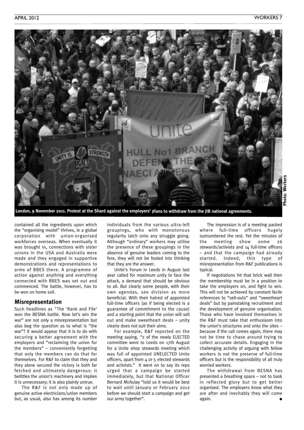

London, 9 November 2011. Protest at the Shard against the employers' plans to withdraw from the JIB national agreements.

contained all the ingredients upon which the "organising model" thrives, ie a global corporation with union-organised workforces overseas. When eventually it was brought in, connections with sister unions in the USA and Australia were made and they engaged in supportive demonstrations and representations to arms of BBES there. A programme of action against anything and everything connected with BBES was set out and commenced. The battle, however, has to be won on home soil.

### **Misrepresentation**

Such headlines as "The 'Rank and File' won the BESNA battle. Now let's win the war" are not only a misrepresentation but also beg the question as to what is "the war"? It would appear that it is to do with securing a better agreement with the employers and "reclaiming the union for the members" – conveniently forgetting that only the members can do that for themselves. For R&F to claim that they and they alone secured the victory is both far fetched and ultimately dangerous: it belittles the union's machinery and implies it is unnecessary; it is also plainly untrue.

The R&F is not only made up of genuine active electricians/union members but, as usual, also has among its number

individuals from the various ultra-left groupings, who with monotonous regularity latch onto any struggle going. Although "ordinary" workers may utilise the presence of these groupings in the absence of genuine leaders coming to the fore, they will not be fooled into thinking that they are the answer.

Unite's Forum in Leeds in August last year called for maximum unity to face the attack, a demand that should be obvious to all. But clearly some people, with their own agendas, see division as more beneficial. With their hatred of appointed full-time officers (as if being elected is a guarantee of commitment to the cause) and a starting point that the union will sell out and make sweetheart deals – unity clearly does not suit their aims.

For example, R&F reported on the meeting saying, "2 of the newly ELECTED committee went to Leeds on 17th August for a Unite shop stewards meeting which was full of appointed UNELECTED Unite officers, apart from 4 or 5 elected stewards and activists." It went on to say its reps urged that a campaign be started immediately, but that National Officer Bernard McAulay "told us it would be best to wait until January or February 2012 before we should start a campaign and get our army together".

The impression is of a meeting packed where full-time officers hugely outnumbered the rest. Yet the minutes of the meeting show some 26 stewards/activists and 14 full-time officers – and that the campaign had already started. Indeed, this type of misrepresentation from R&F publications is typical.

If negotiations hit that brick wall then the membership must be in a position to take the employers on, and fight to win. This will not be achieved by constant facile references to "sell-outs" and "sweetheart deals" but by painstaking recruitment and the development of genuine organisation. Those who have involved themselves in the R&F must take that enthusiasm into the union's structures and onto the sites – because if the call comes again, there may not be time to chase around trying to collect accurate details. Engaging in the challenging activity of arguing with fellow workers is not the preserve of full-time officers but is the responsibility of all truly worried workers.

The withdrawal from BESNA has presented a breathing space – not to bask in reflected glory but to get better organised. The employers know what they are after and inevitably they will come again. **■**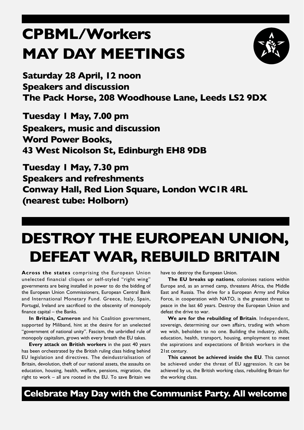### **CPBML/Workers MAY DAY MEETINGS**



**Saturday 28 April, 12 noon Speakers and discussion The Pack Horse, 208 Woodhouse Lane, Leeds LS2 9DX**

**Tuesday 1 May, 7.00 pm Speakers, music and discussion Word Power Books, 43 West Nicolson St, Edinburgh EH8 9DB**

**Tuesday 1 May, 7.30 pm Speakers and refreshments Conway Hall, Red Lion Square, London WC1R 4RL (nearest tube: Holborn)**

### **DESTROY THE EUROPEAN UNION, DEFEATWAR, REBUILD BRITAIN**

**Across the states** comprising the European Union unelected financial cliques or self-styled "right wing" governments are being installed in power to do the bidding of the European Union Commissioners, European Central Bank and International Monetary Fund. Greece, Italy, Spain, Portugal, Ireland are sacrificed to the obscenity of monopoly finance capital – the Banks.

**In Britain, Cameron** and his Coalition government, supported by Miliband, hint at the desire for an unelected "government of national unity". Fascism, the unbridled rule of monopoly capitalism, grows with every breath the EU takes.

**Every attack on British workers** in the past 40 years has been orchestrated by the British ruling class hiding behind EU legislation and directives. The deindustrialisation of Britain, devolution, theft of our national assets, the assaults on education, housing, health, welfare, pensions, migration, the right to work – all are rooted in the EU. To save Britain we

have to destroy the European Union.

**The EU breaks up nations**, colonises nations within Europe and, as an armed camp, threatens Africa, the Middle East and Russia. The drive for a European Army and Police Force, in cooperation with NATO, is the greatest threat to peace in the last 60 years. Destroy the European Union and defeat the drive to war.

**We are for the rebuilding of Britain**. Independent, sovereign, determining our own affairs, trading with whom we wish, beholden to no one. Building the industry, skills, education, health, transport, housing, employment to meet the aspirations and expectations of British workers in the 21st century.

**This cannot be achieved inside the EU**. This cannot be achieved under the threat of EU aggression. It can be achieved by us, the British working class, rebuilding Britain for the working class.

**Celebrate May Day with the Communist Party. All welcome**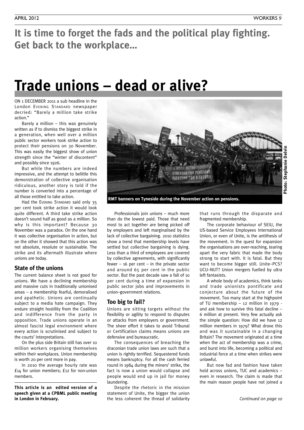**It is time to forget the fads and the political play fighting. Get back to the workplace…**

### **Trade unions – dead or alive?**

ON 1 DECEMBER 2011 a sub headline in the London EVENING STANDARD newspaper decried: "Barely a million take strike action."

Barely a million – this was genuinely written as if to dismiss the biggest strike in a generation, when well over a million public sector workers took strike action to protect their pensions on 30 November. This was easily the biggest show of union strength since the "winter of discontent" and possibly since 1926.

But while the numbers are indeed impressive, and the attempt to belittle this demonstration of collective organisation ridiculous, another story is told if the number is converted into a percentage of all those entitled to take action.

Had the EVENING STANDARD said only 35 per cent took strike action it would look quite different. A third take strike action doesn't sound half as good as a million. So why is this important? Because 30 November was a paradox. On the one hand it was collective organisation in action, but on the other it showed that this action was not absolute, resolute or sustainable. The strike and its aftermath illustrate where unions are today.

### **State of the unions**

The current balance sheet is not good for unions. We have a declining membership and massive cuts in traditionally unionised areas – a membership fearful, demoralised and apathetic. Unions are continually subject to a media hate campaign. They endure straight hostility from the Coalition and indifference from the party in opposition. Trade unions operate in an almost fascist legal environment where every action is scrutinised and subject to the courts' interpretations.

On the plus side Britain still has over 10 million workers organising themselves within their workplaces. Union membership is worth 20 per cent more in pay.

In 2010 the average hourly rate was £14 for union members; £12 for non-union members.

**This article is an edited version of a speech given at a CPBML public meeting**



**RMT banners on Tyneside during the November action on pensions.**

Professionals join unions – much more than do the lowest paid. Those that need most to act together are being picked off by employers and left marginalised by the lack of collective bargaining. 2010 statistics show a trend that membership levels have settled but collective bargaining is dying. Less than a third of employees are covered by collective agreements, with significantly fewer –  $16$  per cent – in the private sector and around 65 per cent in the public sector. But the past decade saw a fall of 10 per cent during a time of expansion in public sector jobs and improvements in union–government relations.

### **Too big to fail?**

Unions are sitting targets without the flexibility or agility to respond to disputes or attacks from employers or government. The sheer effort it takes to avoid Tribunal or Certification claims means unions are defensive and bureaucratic.

The consequences of breaching the draconian trade union laws are such that a union is rightly terrified. Sequestered funds means bankruptcy. For all the cash ferried round in 1984 during the miners' strike, the fact is now a union would collapse and people would end up in jail for money laundering.

Despite the rhetoric in the mission statement of Unite, the bigger the union the less coherent the thread of solidarity **in London in February.** *Continued on page 10*

that runs through the disparate and fragmented membership.

The corporate behaviour of SEIU, the US-based Service Employees International Union, or even of Unite, is the antithesis of the movement. In the quest for expansion the organisations are over-reaching, tearing apart the very fabric that made the body strong to start with. It is fatal. But they want to become bigger still. Unite–PCS? UCU–NUT? Union mergers fuelled by ultra left fantasists.

A whole body of academics, think tanks and trade unionists pontificate and conjecture about the future of the movement. Too many start at the highpoint of TU membership – 12 million in 1979 and ask how to survive this fatal decline – 6 million at present. Very few actually ask the simple question: How did we have 12 million members in 1979? What drove this and was it sustainable in a changing Britain? The movement originated at a time when the act of membership was a crime, and burst into life, becoming a political and industrial force at a time when strikes were unlawful.

But now fad and fashion have taken hold across unions, TUC and academics – even in research. The claim is made that the main reason people have not joined a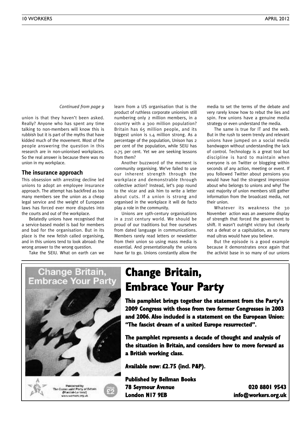*Continued from page 9*

union is that they haven't been asked. Really? Anyone who has spent any time talking to non-members will know this is rubbish but it is part of the myths that have kidded much of the movement. Most of the people answering the question in this research are in non-unionised workplaces. So the real answer is because there was no union in my workplace.

### **The insurance approach**

This obsession with arresting decline led unions to adopt an employee insurance approach. The attempt has backfired as too many members see the union as a cheap legal service and the weight of European laws has forced ever more disputes into the courts and out of the workplace.

Belatedly unions have recognised that a service-based model is bad for members and bad for the organisation. But in its place is the new fetish called organising, and in this unions tend to look abroad: the wrong answer to the wrong question.

Take the SEIU. What on earth can we

learn from a US organisation that is the product of ruthless corporate unionism still numbering only 2 million members, in a country with a 300 million population? Britain has 65 million people, and its biggest union is 1.4 million strong. As a percentage of the population, Unison has 2 per cent of the population, while SEIU has 0.75 per cent. Yet we are seeking lessons from them?

Another buzzword of the moment is community organising. We've failed to use our inherent strength through the workplace and demonstrable through collective action? Instead, let's pop round to the vicar and ask him to write a letter about cuts. If a union is strong and organised in the workplace it will de facto play a role in the community.

Unions are 19th-century organisations in a 21st century world. We should be proud of our traditions but free ourselves from dated language in communications. Members rarely read letters or newsletter from their union so using mass media is essential. And presentationally the unions have far to go. Unions constantly allow the

media to set the terms of the debate and very rarely know how to rebut the lies and spin. Few unions have a genuine media strategy or even understand the media.

The same is true for IT and the web. But in the rush to seem trendy and relevant unions have jumped on a social media bandwagon without understanding the lack of control. Technology is a great tool but discipline is hard to maintain when everyone is on Twitter or blogging within seconds of any action, meeting or event. If you followed Twitter about pensions you would have had the strangest impression about who belongs to unions and why! The vast majority of union members still gather information from the broadcast media, not their union.

Whatever its weakness the 30 November action was an awesome display of strength that forced the government to shift. It wasn't outright victory but clearly not a defeat or a capitulation, as so many mad ultras would have you believe.

But the episode is a good example because it demonstrates once again that the activist base in so many of our unions



### **Change Britain, Embrace Your Party**

**This pamphlet brings together the statement from the Party's 2009 Congress with those from two former Congresses in 2003 and 2006. Also included is a statement on the European Union: "The fascist dream of a united Europe resurrected".**

**The pamphlet represents a decade of thought and analysis of the situation in Britain, and considers how to move forward as a British working class.**

**Available now: £2.75 (incl. P&P).**

**Published by Bellman Books 78 Seymour Avenue 020 8801 9543 London N17 9EB info@workers.org.uk**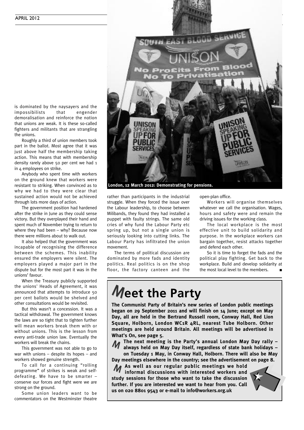is dominated by the naysayers and the impossibilists that engender demoralisation and reinforce the notion that unions are weak. It is these so-called fighters and militants that are strangling the unions.

Roughly a third of union members took part in the ballot. Most agree that it was just above half the membership taking action. This means that with membership density rarely above 50 per cent we had 1 in 4 employees on strike.

Anybody who spent time with workers on the ground knew that workers were resistant to striking. When convinced as to why we had to they were clear that sustained action would not be achieved through lots more days of action.

The government position had hardened after the strike in June as they could sense victory. But they overplayed their hand and spent much of November trying to return to where they had been – why? Because now there were millions about to walk out.

It also helped that the government was incapable of recognising the difference between the schemes. This inability ensured the employers were silent. The employers played a major part in the dispute but for the most part it was in the unions' favour.

When the Treasury publicly supported the unions' Heads of Agreement, it was announced that attempts to introduce 50 per cent ballots would be shelved and other consultations would be revisited.

But this wasn't a concession. It was a tactical withdrawal. The government knows the laws are so tight that to tighten further will mean workers break them with or without unions. This is the lesson from every anti-trade union law. Eventually the workers will break the chains.

This government was not able to go to war with unions – despite its hopes – and workers showed genuine strength.

To call for a continuing "rolling programme" of strikes is weak and selfdefeating. We have to be smarter – conserve our forces and fight were we are strong on the ground.

Some union leaders want to be commentators on the Westminster theatre



rather than participants in the industrial struggle. When they forced the issue over the Labour leadership, to choose between Milibands, they found they had installed a puppet with faulty strings. The same old cries of why fund the Labour Party etc spring up, but not a single union is seriously looking into cutting links. The Labour Party has infiltrated the union movement.

The terms of political discussion are dominated by more fads and identity politics. Real politics is on the shop floor, the factory canteen and the open-plan office.

Workers will organise themselves whatever we call the organisation. Wages, hours and safety were and remain the driving issues for the working class.

The local workplace is the most effective unit to build solidarity and purpose. In the workplace workers can bargain together, resist attacks together and defend each other.

So it is time to forget the fads and the political play fighting. Get back to the workplace. Build and develop solidarity at the most local level to the members.

### **Meet the Party**

**The Communist Party of Britain's new series of London public meetings began on 29 September 2011 and will finish on 14 June; except on May Day, all are held in the Bertrand Russell room, Conway Hall, Red Lion Square, Holborn, London WC1R 4RL, nearest Tube Holborn. Other meetings are held around Britain. All meetings will be advertised in What's On, see page 5.**

**The next meeting is the Party's annual London May Day rally – always held on May Day itself, regardless of state bank holidays –**  $\boldsymbol{M}$ 

**on Tuesday 1 May, in Conway Hall, Holborn. There will also be May Day meetings elsewhere in the country; see the advertisement on page 8.**

**As well as our regular public meetings we hold** M **informal discussions with interested workers and study sessions for those who want to take the discussion further. If you are interested we want to hear from you. Call us on 020 8801 9543 or e-mail to info@workers.org.uk**

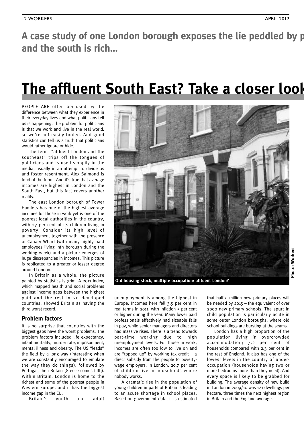A case study of one London borough exposes the lie peddled by p **and the south is rich…**

### **The affluent South East? Take a closer look – the real world is rather different**

PEOPLE ARE often bemused by the difference between what they experience in their everyday lives and what politicians tell us is happening. The problem for politicians is that we work and live in the real world, so we're not easily fooled. And good statistics can tell us a truth that politicians would rather ignore or hide.

The term "affluent London and the southeast" trips off the tongues of politicians and is used sloppily in the media, usually in an attempt to divide us and foster resentment. Alex Salmond is fond of the term. And it's true that average incomes are highest in London and the South East, but this fact covers another reality.

The east London borough of Tower Hamlets has one of the highest average incomes for those in work yet is one of the poorest local authorities in the country, with 27 per cent of its children living in poverty. Consider its high level of unemployment together with the presence of Canary Wharf (with many highly paid employees living inth borough during the working week) and a picture emerges of huge discrepancies in incomes. This picture is replicated to a greater or lesser degree around London.

In Britain as a whole, the picture painted by statistics is grim. A 2011 index, which mapped health and social problems against income gaps between the highest paid and the rest in 20 developed countries, showed Britain as having the third worst record.

### **Problem factors**

It is no surprise that countries with the biggest gaps have the worst problems. The problem factors included life expectancy, infant mortality, murder rate, imprisonment, mental illness and obesity. The US "leads" the field by a long way (interesting when we are constantly encouraged to emulate the way they do things), followed by Portugal, then Britain (Greece comes fifth). Within Britain, London is home to the richest and some of the poorest people in Western Europe, and it has the biggest income gap in the EU.

Britain's youth and adult



**Old housing stock, multiple occupation: affluent London?**

Photo: Workers **Photo: Workers**

unemployment is among the highest in Europe. Incomes here fell 3.5 per cent in real terms in 2011, with inflation 5 per cent or higher during the year. Many lower paid professionals effectively had sizeable falls in pay, while senior managers and directors had massive rises. There is a trend towards part-time working due to high unemployment levels. For those in work, incomes are often too low to live on and are "topped up" by working tax credit  $-$  a direct subsidy from the people to povertywage employers. In London, 20.7 per cent of children live in households where nobody works.

A dramatic rise in the population of young children in parts of Britain is leading to an acute shortage in school places. Based on government data, it is estimated

that half a million new primary places will be needed by 2015 – the equivalent of over 2000 new primary schools. The spurt in child population is particularly acute in some outer London boroughs, where old school buildings are bursting at the seams.

London has a high proportion of the population living in overcrowded accommodation; 7.2 per cent of households compared with 2.3 per cent in the rest of England. It also has one of the lowest levels in the country of underoccupation (households having two or more bedrooms more than they need). And every space is likely to be grabbed for building. The average density of new build in London in 2009/10 was 121 dwellings per hectare, three times the next highest region in Britain and the England average.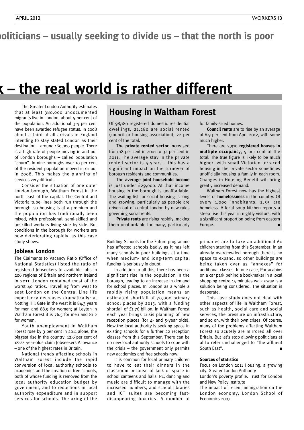### oliticians – usually seeking to divide us – that the north is poor

### **K** – the real world is rather different

The Greater London Authority estimates that at least 380,000 undocumented migrants live in London, about 5 per cent of the population. An additional 3-4 per cent have been awarded refugee status. In 2008 about a third of all arrivals in England intending to stay stated London as their destination – around 160,000 people. There is a high rate of people moving in and out of London boroughs – called population "churn". In nine boroughs over 10 per cent of the resident population moved in or out in 2008. This makes the planning of services very difficult.

Consider the situation of one outer London borough, Waltham Forest in the north east of the capital. The Central and Victoria tube lines both run through the borough, so housing is at a premium and the population has traditionally been mixed, with professional, semi-skilled and unskilled workers living side by side. But conditions in the borough for workers are now deteriorating rapidly, as this case study shows.

### **Jobless London**

The Claimants to Vacancy Ratio (Office of National Statistics) listed the ratio of registered Jobseekers to available jobs in 206 regions of Britain and northern Ireland in 2011. London contained most of the worst 40 ratios. Travelling from west to east London on the Central Line life expectancy decreases dramatically: at Notting Hill Gate in the west it is 84.3 years for men and 88.9 for women; at Leyton in Waltham Forest it is 76.5 for men and 81.2 for women.

Youth unemployment in Waltham Forest rose by 3 per cent in 2011 alone, the biggest rise in the country. 12.6 per cent of 18-24 year-olds claim Jobseekers Allowance – one of the highest rates in Britain.

National trends affecting schools in Waltham Forest include the rapid conversion of local authority schools to academies and the creation of free schools, both of whose funding is removed from the local authority education budget by government, and to reductions in local authority expenditure and in support services for schools. The axing of the

### **Housing in Waltham Forest**

Of 98,180 registered domestic residential dwellings, 21,280 are social rented (council or housing association), 22 per cent of the total.

The **private rented sector** increased from 18 per cent in 2001 to 32 per cent in 2011. The average stay in the private rented sector is 4 years – this has a significant impact on the turnover of borough residents and communities.

The **average joint household income** is just under £29,000. At that income housing in the borough is unaffordable. The waiting list for social housing is long and growing, particularly as people are driven out of central London by new rules governing social rents.

**Private rents** are rising rapidly, making them unaffordable for many, particularly

Building Schools for the Future programme has affected schools badly, as it has left many schools in poor buildings at a time when medium- and long-term capital funding is seriously in doubt.

In addition to all this, there has been a significant rise in the population in the borough, leading to an increase in demand for school places. In London as a whole a rapidly rising population means an estimated shortfall of 70,000 primary school places by 2015, with a funding shortfall of £1.76 billion. In Waltham Forest each year brings crisis planning of new reception places (for 4- and 5-year olds). Now the local authority is seeking space in existing schools for a further 22 reception classes from this September. There can be no new local authority schools to cope with the crisis – the government only permits new academies and free schools now.

It is common for local primary children to have to eat their dinners in the classroom because of lack of space in school canteens and halls. PE, dancing and music are difficult to manage with the increased numbers, and school libraries and ICT suites are becoming fastdisappearing luxuries. A number of for family-sized homes.

**Council rents** are to rise by an average of 6.9 per cent from April 2012, with some much higher.

There are 3,910 **registered houses in multiple occupanc**y, 5 per cent of the total. The true figure is likely to be much higher, with small Victorian terraced housing in the private sector sometimes unofficially housing a family in each room. Changes in Housing Benefit will bring greatly increased demand.

Waltham Forest now has the highest levels of **homelessness** in the country. Of every 1,000 inhabitants, 2.55 are homeless. A local soup kitchen reports a steep rise this year in nightly visitors, with a significant proportion being from eastern Europe.

primaries are to take an additional 60 children starting from this September. In an already overcrowded borough there is no space to expand, so other buildings are being taken over as "annexes" for additional classes. In one case, Portacabins on a car park behind a bookmaker in a local shopping centre 15 minutes walk away is a solution being considered. The situation is desperate.

This case study does not deal with other aspects of life in Waltham Forest, such as health, social care and social services, the pressure on infrastructure, and so on, with their own crises. Of course, many of the problems affecting Waltham Forest so acutely are mirrored all over Britain. But let's stop allowing politicians et al to refer unchallenged to "the affluent South East". **■**

#### **Sources of statistics**

Focus on London 2011 Housing: a growing city. Greater London Authority

London's poverty profile. Trust for London and New Policy Institute

The impact of recent immigration on the London economy. London School of Economics 2007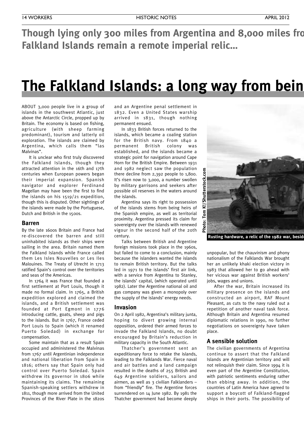**Though lying only 300 miles from Argentina and 8,000 miles from Falkland Islands remain a remote imperial relic…**

### **The Falkland Islands: a long way from being**

ABOUT 3,000 people live in a group of islands in the southwest Atlantic, just above the Antarctic Circle, propped up by Britain. The economy is based on fishing, agriculture (with sheep farming predominant), tourism and latterly oil exploration. The islands are claimed by Argentina, which calls them "las Malvinas".

It is unclear who first truly discovered the Falkland Islands, though they attracted attention in the 16th and 17th centuries when European powers began their imperial expansion. Spanish navigator and explorer Ferdinand Magellan may have been the first to find the islands on his 1519/21 expedition, though this is disputed. Other sightings of the islands were made by the Portuguese, Dutch and British in the 1500s.

#### **Barren**

By the late 1600s Britain and France had re-discovered the barren and still uninhabited islands as their ships were sailing in the area. Britain named them the Falkland Islands while France called them Les Isles Nouvelles or Les Iles Malouines. The Treaty of Utrecht in 1713 ratified Spain's control over the territories and seas of the Americas.

In 1764 it was France that founded a first settlement at Port Louis, though it made no formal claim. In 1765, a British expedition explored and claimed the islands, and a British settlement was founded at Port Egmont in 1776 introducing cattle, goats, sheep and pigs to the islands. But in 1767, France ceded Port Louis to Spain (which it renamed Puerto Soledad) in exchange for compensation.

Some maintain that as a result Spain occupied and administered the Malvinas from 1767 until Argentinian independence and national liberation from Spain in 1816; others say that Spain only had control over Puerto Soledad. Spain withdrew its governor in 1806 while maintaining its claims. The remaining Spanish-speaking settlers withdrew in 1811, though more arrived from the United Provinces of the River Plate in the 1820s

and an Argentine penal settlement in 1832. Even a United States warship arrived in 1831, though nothing permanent ensued.

In 1833 British forces returned to the islands, which became a coaling station for the British navy. From 1840 a permanent British colony was established, and the islands became a strategic point for navigation around Cape Horn for the British Empire. Between 1931 and 1982 neglect saw the population there decline from 2,392 people to 1,800. It's risen now to 3,000, a number swollen by military garrisons and seekers after possible oil reserves in the waters around the islands.

Argentina says its right to possession of the islands stems from being heirs of the Spanish empire, as well as territorial proximity. Argentina pressed its claim for sovereignty over the islands with renewed vigour in the second half of the 20th century.

Talks between British and Argentine foreign missions took place in the 1960s, but failed to come to a conclusion, mainly because the islanders wanted the islands to remain British territory. But the talks led in 1971 to the islands' first air link, with a service from Argentina to Stanley, the islands' capital, (which operated until 1982). Later the Argentine national oil and gas company was given a monopoly over the supply of the islands' energy needs.

#### **Invasion**

On 2 April 1982, Argentina's military junta, hoping to divert growing internal opposition, ordered their armed forces to invade the Falkland Islands, no doubt encouraged by Britain's reduction in military capacity in the South Atlantic.

Thatcher's government sent an expeditionary force to retake the islands, leading to the Falklands War. Fierce naval and air battles and a land campaign resulted in the deaths of 255 British and 649 Argentine soldiers, sailors and airmen, as well as 3 civilian Falklanders from "friendly" fire. The Argentine forces surrendered on 14 June 1982. By 1981 the Thatcher government had become deeply



unpopular, but the chauvinism and phony nationalism of the Falklands War brought her an unlikely khaki election victory in 1983 that allowed her to go ahead with her vicious war against British workers' jobs, wages and unions.

After the war, Britain increased its military presence on the islands and constructed an airport, RAF Mount Pleasant, as cuts to the navy ruled out a repetition of another naval task force. Although Britain and Argentina resumed diplomatic relations in 1990, no further negotiations on sovereignty have taken place.

### **A sensible solution**

The civilian governments of Argentina continue to assert that the Falkland Islands are Argentinian territory and will not relinquish their claim. Since 1994 it is even part of the Argentine Constitution, with patriotic sentiments enduring rather than ebbing away. In addition, the countries of Latin America have agreed to support a boycott of Falkland-flagged ships in their ports. The possibility of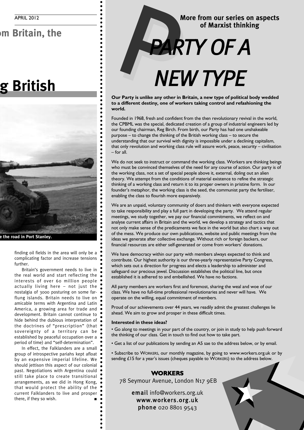### **In Britain, the**

### **The Falkland Islands: a long way from being British**



 $\bullet$  $\bullet$ 

Ċ  $\bullet$  $\bullet$ 

 $\bullet$ 

**Rusting hardware, a relic of the 1982 war, beside the road in Port Stanley.**

finding oil fields in the area will only be a complicating factor and increase tensions further.

Britain's government needs to live in the real world and start reflecting the interests of over 60 million people actually living here – not just the nostalgia of 3000 posturing on some farflung islands. Britain needs to live on amicable terms with Argentina and Latin America, a growing area for trade and development. Britain cannot continue to hide behind the dubious interpretation of the doctrines of "prescription" (that sovereignty of a territory can be established by peaceful occupation over a period of time) and "self-determination".

In effect, the Falklanders are a small group of introspective pariahs kept afloat by an expensive imperial lifeline. We should jettison this aspect of our colonial past. Negotiations with Argentina could still take place to create transitional arrangements, as we did in Hong Kong, that would protect the ability of the current Falklanders to live and prosper there, if they so wish.

### **More from our series on aspects of Marxist thinking** P*PARTY OF A*

## *NEW TYPE*

**Our Party is unlike any other in Britain, a new type of political body wedded to a different destiny, one of workers taking control and refashioning the world.**

Founded in 1968, fresh and confident from the then revolutionary revival in the world, the CPBML was the special, dedicated creation of a group of industrial engineers led by our founding chairman, Reg Birch. From birth, our Party has had one unshakeable purpose – to change the thinking of the British working class – to secure the understanding that our survival with dignity is impossible under a declining capitalism, that only revolution and working class rule will assure work, peace, security – civilisation – for all.

We do not seek to instruct or command the working class. Workers are thinking beings who must be convinced themselves of the need for any course of action. Our party is of the working class, not a set of special people above it, external, doling out an alien theory. We attempt from the conditions of material existence to refine the strategic thinking of a working class and return it to its proper owners in pristine form. In our founder's metaphor, the working class is the seed, the communist party the fertiliser, enabling the class to flourish more expansively.

We are an unpaid, voluntary community of doers and thinkers with everyone expected to take responsibility and play a full part in developing the party. We attend regular meetings, we study together, we pay our financial commitments, we reflect on and analyse current affairs in Britain and the world, we develop a strategy and tactics that not only make sense of the predicaments we face in the world but also chart a way out of the mess. We produce our own publications, website and public meetings from the ideas we generate after collective exchange. Without rich or foreign backers, our financial resources are either self-generated or come from workers' donations.

We have democracy within our party with members always expected to think and contribute. Our highest authority is our three-yearly representative Party Congress, which sets out a direction for progress and elects a leadership to administer and safeguard our precious jewel. Discussion establishes the political line, but once established it is adhered to and embellished. We have no factions.

All party members are workers first and foremost, sharing the weal and woe of our class. We have no full-time professional revolutionaries and never will have. We operate on the willing, equal commitment of members.

Proud of our achievements over 44 years, we readily admit the greatest challenges lie ahead. We aim to grow and prosper in these difficult times.

### **Interested in these ideas?**

• Go along to meetings in your part of the country, or join in study to help push forward the thinking of our class. Get in touch to find out how to take part.

• Get a list of our publications by sending an A5 sae to the address below, or by email.

• Subscribe to WORKERS, our monthly magazine, by going to www.workers.org.uk or by sending £15 for a year's issues (cheques payable to WORKERS) to the address below.

### **WORKERS**

78 Seymour Avenue, London N17 9EB

email info@workers.org.uk www.workers.org.uk phone 020 8801 9543